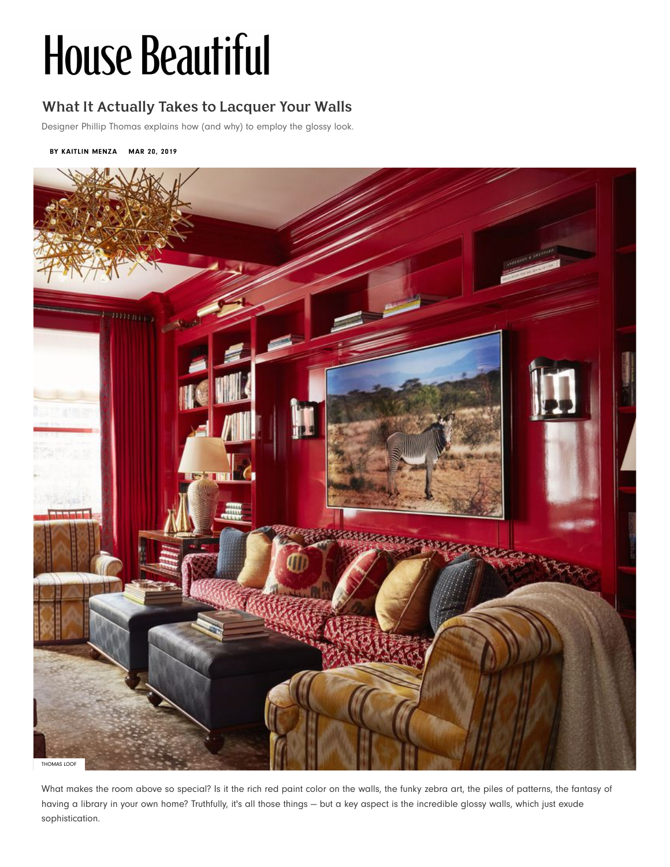# **House Beautiful**

# **What It Actually Takes to Lacquer Your Walls**

Desi[gner Phillip Th](https://www.housebeautiful.com/author/1186/kaitlin-menza/)omas explains how (and why) to employ the glossy look.

#### **BY KAITLIN MENZA MAR 20, 2019**



What makes the room above so special? Is it the rich red paint color on the walls, the funky zebra art, the piles of patterns, the fantasy of having a library in your own home? Truthfully, it's all those things — but a key aspect is the incredible glossy walls, which just exude sophistication.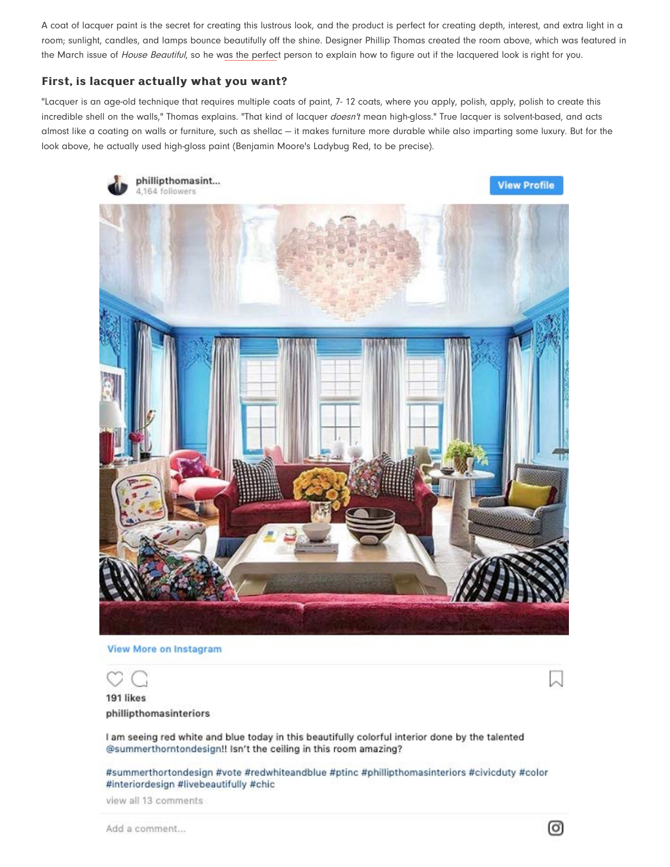A coat of lacquer paint is the secret for creating this lustrous look, and the product is perfect for creating depth, interest, and extra light in a room; sunlight, candles, and lamps bounce beautifully off the shine. Designer Phillip Thomas created the room above, which was featured in the March issue of House Beautiful, so he was the perfect person to explain how to figure out if the lacquered look is right for you.

#### **First, is lacquer actually what you want?**

"Lacquer is an age-old technique that requires multiple coats of paint, 7-12 coats, where you apply, polish, apply, polish to create this incredible shell on the walls," Thomas explains. "That kind of lacquer doesn't mean high-gloss." True lacquer is solvent-based, and acts almost like a coating on walls or furniture, such as shellac — it makes furniture more durable while also imparting some luxury. But for the look above, he actually used high-gloss paint (Benjamin Moore's Ladybug Red, to be precise).



View More on Instagram

191 likes phillipthomasinteriors

I am seeing red white and blue today in this beautifully colorful interior done by the talented @summerthorntondesign!! Isn't the ceiling in this room amazing?

#summerthortondesign #vote #redwhiteandblue #ptinc #phillipthomasinteriors #civicduty #color #interiordesign #livebeautifully #chic

view all 13 comments

Add a comment...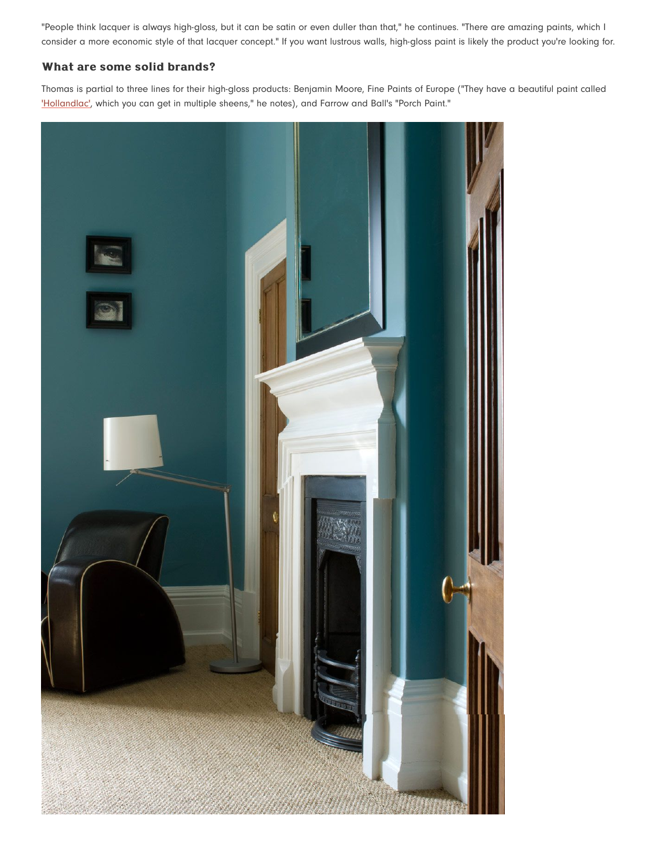"People think lacquer is always high-gloss, but it can be satin or even duller than that," he continues. "There are amazing paints, which I consider a more economic style of that lacquer concept." If you want lustrous walls, high-gloss paint is likely the product you're looking for.

### **What are some solid brands? are some solid brands?**

Thomas is partial to three lines for their high-gloss products: Benjamin Moore, Fine Paints of Europe ("They have a beautiful paint called ['Hollandlac'](http://www.finepaintsofeurope.com/store/pc/viewPrd.asp?idproduct=39), which you can get in multiple sheens," he notes), and Farrow and Ball's "Porch Paint."